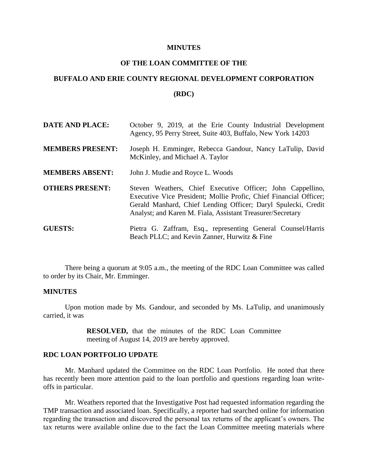#### **MINUTES**

# **OF THE LOAN COMMITTEE OF THE**

# **BUFFALO AND ERIE COUNTY REGIONAL DEVELOPMENT CORPORATION**

#### **(RDC)**

| <b>DATE AND PLACE:</b>  | October 9, 2019, at the Erie County Industrial Development<br>Agency, 95 Perry Street, Suite 403, Buffalo, New York 14203                                                                                                                                      |
|-------------------------|----------------------------------------------------------------------------------------------------------------------------------------------------------------------------------------------------------------------------------------------------------------|
| <b>MEMBERS PRESENT:</b> | Joseph H. Emminger, Rebecca Gandour, Nancy LaTulip, David<br>McKinley, and Michael A. Taylor                                                                                                                                                                   |
| <b>MEMBERS ABSENT:</b>  | John J. Mudie and Royce L. Woods                                                                                                                                                                                                                               |
| <b>OTHERS PRESENT:</b>  | Steven Weathers, Chief Executive Officer; John Cappellino,<br>Executive Vice President; Mollie Profic, Chief Financial Officer;<br>Gerald Manhard, Chief Lending Officer; Daryl Spulecki, Credit<br>Analyst; and Karen M. Fiala, Assistant Treasurer/Secretary |
| <b>GUESTS:</b>          | Pietra G. Zaffram, Esq., representing General Counsel/Harris<br>Beach PLLC; and Kevin Zanner, Hurwitz & Fine                                                                                                                                                   |

There being a quorum at 9:05 a.m., the meeting of the RDC Loan Committee was called to order by its Chair, Mr. Emminger.

### **MINUTES**

Upon motion made by Ms. Gandour, and seconded by Ms. LaTulip, and unanimously carried, it was

> **RESOLVED,** that the minutes of the RDC Loan Committee meeting of August 14, 2019 are hereby approved.

# **RDC LOAN PORTFOLIO UPDATE**

Mr. Manhard updated the Committee on the RDC Loan Portfolio. He noted that there has recently been more attention paid to the loan portfolio and questions regarding loan writeoffs in particular.

Mr. Weathers reported that the Investigative Post had requested information regarding the TMP transaction and associated loan. Specifically, a reporter had searched online for information regarding the transaction and discovered the personal tax returns of the applicant's owners. The tax returns were available online due to the fact the Loan Committee meeting materials where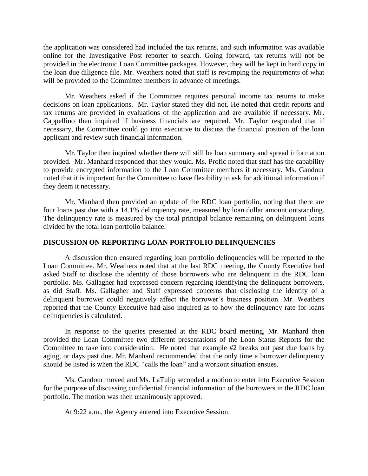the application was considered had included the tax returns, and such information was available online for the Investigative Post reporter to search. Going forward, tax returns will not be provided in the electronic Loan Committee packages. However, they will be kept in hard copy in the loan due diligence file. Mr. Weathers noted that staff is revamping the requirements of what will be provided to the Committee members in advance of meetings.

Mr. Weathers asked if the Committee requires personal income tax returns to make decisions on loan applications. Mr. Taylor stated they did not. He noted that credit reports and tax returns are provided in evaluations of the application and are available if necessary. Mr. Cappellino then inquired if business financials are required. Mr. Taylor responded that if necessary, the Committee could go into executive to discuss the financial position of the loan applicant and review such financial information.

Mr. Taylor then inquired whether there will still be loan summary and spread information provided. Mr. Manhard responded that they would. Ms. Profic noted that staff has the capability to provide encrypted information to the Loan Committee members if necessary. Ms. Gandour noted that it is important for the Committee to have flexibility to ask for additional information if they deem it necessary.

Mr. Manhard then provided an update of the RDC loan portfolio, noting that there are four loans past due with a 14.1% delinquency rate, measured by loan dollar amount outstanding. The delinquency rate is measured by the total principal balance remaining on delinquent loans divided by the total loan portfolio balance.

# **DISCUSSION ON REPORTING LOAN PORTFOLIO DELINQUENCIES**

A discussion then ensured regarding loan portfolio delinquencies will be reported to the Loan Committee. Mr. Weathers noted that at the last RDC meeting, the County Executive had asked Staff to disclose the identity of those borrowers who are delinquent in the RDC loan portfolio. Ms. Gallagher had expressed concern regarding identifying the delinquent borrowers, as did Staff. Ms. Gallagher and Staff expressed concerns that disclosing the identity of a delinquent borrower could negatively affect the borrower's business position. Mr. Weathers reported that the County Executive had also inquired as to how the delinquency rate for loans delinquencies is calculated.

In response to the queries presented at the RDC board meeting, Mr. Manhard then provided the Loan Committee two different presentations of the Loan Status Reports for the Committee to take into consideration. He noted that example #2 breaks out past due loans by aging, or days past due. Mr. Manhard recommended that the only time a borrower delinquency should be listed is when the RDC "calls the loan" and a workout situation ensues.

Ms. Gandour moved and Ms. LaTulip seconded a motion to enter into Executive Session for the purpose of discussing confidential financial information of the borrowers in the RDC loan portfolio. The motion was then unanimously approved.

At 9:22 a.m., the Agency entered into Executive Session.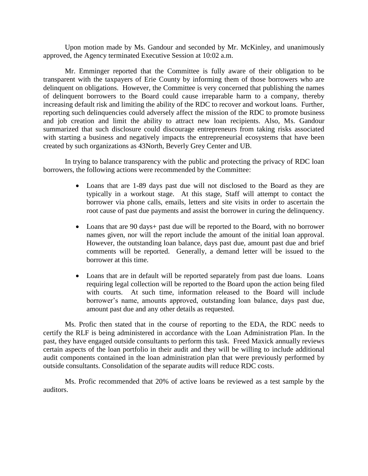Upon motion made by Ms. Gandour and seconded by Mr. McKinley, and unanimously approved, the Agency terminated Executive Session at 10:02 a.m.

Mr. Emminger reported that the Committee is fully aware of their obligation to be transparent with the taxpayers of Erie County by informing them of those borrowers who are delinquent on obligations. However, the Committee is very concerned that publishing the names of delinquent borrowers to the Board could cause irreparable harm to a company, thereby increasing default risk and limiting the ability of the RDC to recover and workout loans. Further, reporting such delinquencies could adversely affect the mission of the RDC to promote business and job creation and limit the ability to attract new loan recipients. Also, Ms. Gandour summarized that such disclosure could discourage entrepreneurs from taking risks associated with starting a business and negatively impacts the entrepreneurial ecosystems that have been created by such organizations as 43North, Beverly Grey Center and UB.

In trying to balance transparency with the public and protecting the privacy of RDC loan borrowers, the following actions were recommended by the Committee:

- Loans that are 1-89 days past due will not disclosed to the Board as they are typically in a workout stage. At this stage, Staff will attempt to contact the borrower via phone calls, emails, letters and site visits in order to ascertain the root cause of past due payments and assist the borrower in curing the delinquency.
- Loans that are 90 days+ past due will be reported to the Board, with no borrower names given, nor will the report include the amount of the initial loan approval. However, the outstanding loan balance, days past due, amount past due and brief comments will be reported. Generally, a demand letter will be issued to the borrower at this time.
- Loans that are in default will be reported separately from past due loans. Loans requiring legal collection will be reported to the Board upon the action being filed with courts. At such time, information released to the Board will include borrower's name, amounts approved, outstanding loan balance, days past due, amount past due and any other details as requested.

Ms. Profic then stated that in the course of reporting to the EDA, the RDC needs to certify the RLF is being administered in accordance with the Loan Administration Plan. In the past, they have engaged outside consultants to perform this task. Freed Maxick annually reviews certain aspects of the loan portfolio in their audit and they will be willing to include additional audit components contained in the loan administration plan that were previously performed by outside consultants. Consolidation of the separate audits will reduce RDC costs.

Ms. Profic recommended that 20% of active loans be reviewed as a test sample by the auditors.